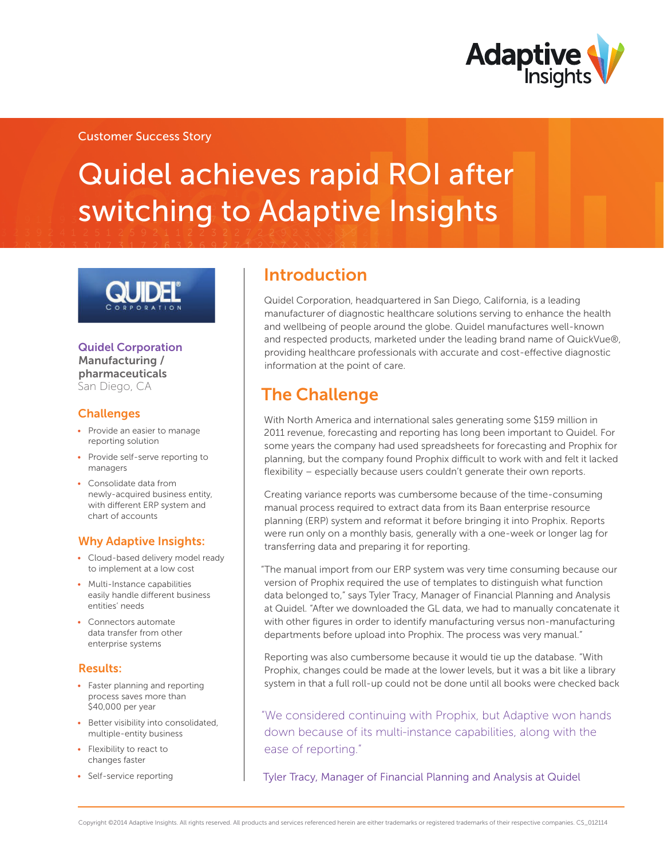

# Quidel achieves rapid ROI after switching to Adaptive Insights

Quidel Corporation Manufacturing / pharmaceuticals San Diego, CA

### Challenges

- Provide an easier to manage reporting solution
- Provide self-serve reporting to managers
- • Consolidate data from newly-acquired business entity, with different ERP system and chart of accounts

### Why Adaptive Insights:

- Cloud-based delivery model ready to implement at a low cost
- Multi-Instance capabilities easily handle different business entities' needs
- • Connectors automate data transfer from other enterprise systems

### Results:

- Faster planning and reporting process saves more than \$40,000 per year
- • Better visibility into consolidated, multiple-entity business
- Flexibility to react to changes faster
- Self-service reporting

### Introduction

Quidel Corporation, headquartered in San Diego, California, is a leading manufacturer of diagnostic healthcare solutions serving to enhance the health and wellbeing of people around the globe. Quidel manufactures well-known and respected products, marketed under the leading brand name of QuickVue®, providing healthcare professionals with accurate and cost-effective diagnostic information at the point of care.

## The Challenge

With North America and international sales generating some \$159 million in 2011 revenue, forecasting and reporting has long been important to Quidel. For some years the company had used spreadsheets for forecasting and Prophix for planning, but the company found Prophix difficult to work with and felt it lacked flexibility – especially because users couldn't generate their own reports.

Creating variance reports was cumbersome because of the time-consuming manual process required to extract data from its Baan enterprise resource planning (ERP) system and reformat it before bringing it into Prophix. Reports were run only on a monthly basis, generally with a one-week or longer lag for transferring data and preparing it for reporting.

"The manual import from our ERP system was very time consuming because our version of Prophix required the use of templates to distinguish what function data belonged to," says Tyler Tracy, Manager of Financial Planning and Analysis at Quidel. "After we downloaded the GL data, we had to manually concatenate it with other figures in order to identify manufacturing versus non-manufacturing departments before upload into Prophix. The process was very manual."

Reporting was also cumbersome because it would tie up the database. "With Prophix, changes could be made at the lower levels, but it was a bit like a library system in that a full roll-up could not be done until all books were checked back

"We considered continuing with Prophix, but Adaptive won hands down because of its multi-instance capabilities, along with the ease of reporting."

Tyler Tracy, Manager of Financial Planning and Analysis at Quidel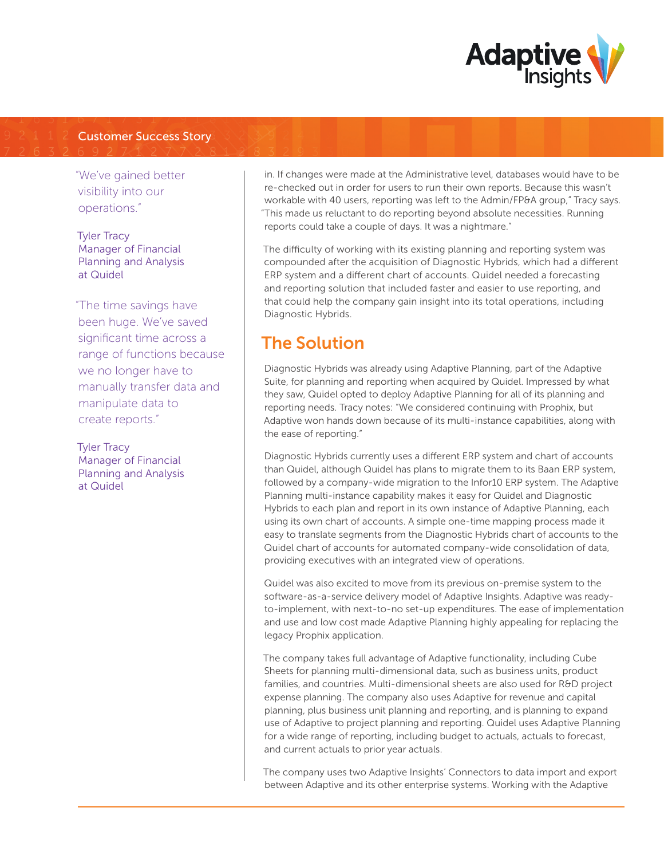

"We've gained better visibility into our operations."

Tyler Tracy Manager of Financial Planning and Analysis at Quidel

"The time savings have been huge. We've saved significant time across a range of functions because we no longer have to manually transfer data and manipulate data to create reports."

Tyler Tracy Manager of Financial Planning and Analysis at Quidel

in. If changes were made at the Administrative level, databases would have to be re-checked out in order for users to run their own reports. Because this wasn't workable with 40 users, reporting was left to the Admin/FP&A group," Tracy says. "This made us reluctant to do reporting beyond absolute necessities. Running reports could take a couple of days. It was a nightmare."

The difficulty of working with its existing planning and reporting system was compounded after the acquisition of Diagnostic Hybrids, which had a different ERP system and a different chart of accounts. Quidel needed a forecasting and reporting solution that included faster and easier to use reporting, and that could help the company gain insight into its total operations, including Diagnostic Hybrids.

## The Solution

Diagnostic Hybrids was already using Adaptive Planning, part of the Adaptive Suite, for planning and reporting when acquired by Quidel. Impressed by what they saw, Quidel opted to deploy Adaptive Planning for all of its planning and reporting needs. Tracy notes: "We considered continuing with Prophix, but Adaptive won hands down because of its multi-instance capabilities, along with the ease of reporting."

Diagnostic Hybrids currently uses a different ERP system and chart of accounts than Quidel, although Quidel has plans to migrate them to its Baan ERP system, followed by a company-wide migration to the Infor10 ERP system. The Adaptive Planning multi-instance capability makes it easy for Quidel and Diagnostic Hybrids to each plan and report in its own instance of Adaptive Planning, each using its own chart of accounts. A simple one-time mapping process made it easy to translate segments from the Diagnostic Hybrids chart of accounts to the Quidel chart of accounts for automated company-wide consolidation of data, providing executives with an integrated view of operations.

Quidel was also excited to move from its previous on-premise system to the software-as-a-service delivery model of Adaptive Insights. Adaptive was readyto-implement, with next-to-no set-up expenditures. The ease of implementation and use and low cost made Adaptive Planning highly appealing for replacing the legacy Prophix application.

The company takes full advantage of Adaptive functionality, including Cube Sheets for planning multi-dimensional data, such as business units, product families, and countries. Multi-dimensional sheets are also used for R&D project expense planning. The company also uses Adaptive for revenue and capital planning, plus business unit planning and reporting, and is planning to expand use of Adaptive to project planning and reporting. Quidel uses Adaptive Planning for a wide range of reporting, including budget to actuals, actuals to forecast, and current actuals to prior year actuals.

The company uses two Adaptive Insights' Connectors to data import and export between Adaptive and its other enterprise systems. Working with the Adaptive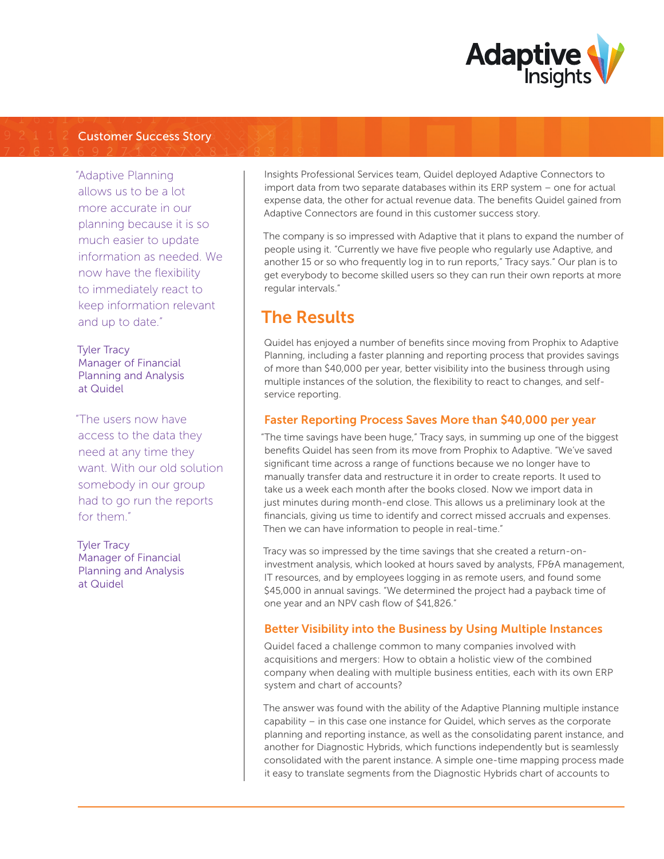

"Adaptive Planning allows us to be a lot more accurate in our planning because it is so much easier to update information as needed. We now have the flexibility to immediately react to keep information relevant and up to date."

Tyler Tracy Manager of Financial Planning and Analysis at Quidel

"The users now have access to the data they need at any time they want. With our old solution somebody in our group had to go run the reports for them."

Tyler Tracy Manager of Financial Planning and Analysis at Quidel

Insights Professional Services team, Quidel deployed Adaptive Connectors to import data from two separate databases within its ERP system – one for actual expense data, the other for actual revenue data. The benefits Quidel gained from Adaptive Connectors are found in this customer success story.

The company is so impressed with Adaptive that it plans to expand the number of people using it. "Currently we have five people who regularly use Adaptive, and another 15 or so who frequently log in to run reports," Tracy says." Our plan is to get everybody to become skilled users so they can run their own reports at more regular intervals."

### The Results

Quidel has enjoyed a number of benefits since moving from Prophix to Adaptive Planning, including a faster planning and reporting process that provides savings of more than \$40,000 per year, better visibility into the business through using multiple instances of the solution, the flexibility to react to changes, and selfservice reporting.

### Faster Reporting Process Saves More than \$40,000 per year

"The time savings have been huge," Tracy says, in summing up one of the biggest benefits Quidel has seen from its move from Prophix to Adaptive. "We've saved significant time across a range of functions because we no longer have to manually transfer data and restructure it in order to create reports. It used to take us a week each month after the books closed. Now we import data in just minutes during month-end close. This allows us a preliminary look at the financials, giving us time to identify and correct missed accruals and expenses. Then we can have information to people in real-time."

Tracy was so impressed by the time savings that she created a return-oninvestment analysis, which looked at hours saved by analysts, FP&A management, IT resources, and by employees logging in as remote users, and found some \$45,000 in annual savings. "We determined the project had a payback time of one year and an NPV cash flow of \$41,826."

### Better Visibility into the Business by Using Multiple Instances

Quidel faced a challenge common to many companies involved with acquisitions and mergers: How to obtain a holistic view of the combined company when dealing with multiple business entities, each with its own ERP system and chart of accounts?

The answer was found with the ability of the Adaptive Planning multiple instance capability – in this case one instance for Quidel, which serves as the corporate planning and reporting instance, as well as the consolidating parent instance, and another for Diagnostic Hybrids, which functions independently but is seamlessly consolidated with the parent instance. A simple one-time mapping process made it easy to translate segments from the Diagnostic Hybrids chart of accounts to